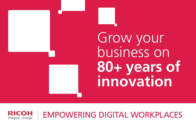Grow your business on **80+ years of innovation**

EMPOWERING DIGITAL WORKPLACESCOH imagine. change.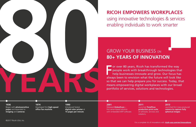F or over 80 years, Ricoh has transformed the way people work with breakthrough technologies that help businesses innovate and grow. Our focus has always been to envision what the future will look like so that we can help prepare you for success. Today, that means empowering digital workplaces with our broad portfolio of services, solutions and technologies.

## GROW YOUR BUSINESS ON **80+ YEARS OF INNOVATION**



**RICOH EMPOWERS WORKPLACES**  using innovative technologies & services enabling individuals to work smarter

**1936** Began with **photosensitive paper** and expanded to **imaging** and **cameras**.

### **2001**

Released **GlobalScan** first server-based solution with embedded MFP software.

**1974** Developed first **high-speed office fax machine**.

Launched **TotalFlow production print suite**  of software, services and

# **2011** solutions.

**1990** Introduced fastest **digital color printer** at **15 pages per minute**.

**2013** Launched first mass-produced **camera to capture fully spherical images**.

For a complete list of innovations visit: **ricoh-usa.com/en/innovations**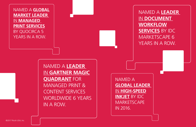NAMED A **LEADER** IN **GARTNER MAGIC QUADRANT** FOR MANAGED PRINT & CONTENT SERVICES WORLDWIDE 6 YEARS IN A ROW.

NAMED A **LEADER** IN **DOCUMENT WORKFLOW SERVICES** BY IDC MARKETSCAPE 6 YEARS IN A ROW.

NAMED A **GLOBAL LEADER** IN **HIGH-SPEED INKJET** BY IDC **MARKETSCAPE** IN 2016.

NAMED A **GLOBAL MARKET LEADER** IN **MANAGED PRINT SERVICES** BY QUOCIRCA 5 YEARS IN A ROW.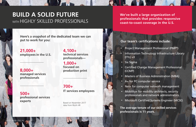**4,100+ technical services professionals—**

**1,000+ focused on production print** 

**700+ IT services employees**

Based on November 2017 data from Ricoh HR

**21,000+ employees in the U.S.**

**8,000+ managed services professionals**

**500+ professional services experts**

**We've built a large organization of professionals that provides responsive coast-to-coast coverage in the U.S.**

**Here's a snapshot of the dedicated team we can put to work for you: Our team's certifications include:**

# **BUILD A SOLID FUTURE**  WITH HIGHLY SKILLED PROFESSIONALS

• Project Management Professional (PMP®) • Information Technology Infrastructure Library

• Certified Change Management Professional

- 
- (ITIL) v3
- Six Sigma
- (CCMP)
- 
- A+ for PC computer service
- 
- 
- 

• Masters of Business Administration (MBA)

• Net+ for computer network management

• Mobility+ for mobility architects, security professionals and network administrators

• Microsoft Certified Systems Engineer (MCSE)

**The average tenure of our skilled services professionals is 11 years.**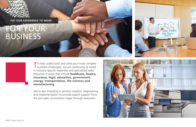# FOR YOUR BUSINESS



### **PUT OUR EXPERIENCE TO WORK**

To help understand and solve your most complex<br>business challenges, we are continuing to invest in industry-specific expertise and specialized sales resources in areas that include **healthcare, finance, insurance, legal, education, government, energy, transportation, life sciences and manufacturing.**

We're also investing in services creation, engineering and implementation to provide expert support from the pre-sales consultation stage through execution.

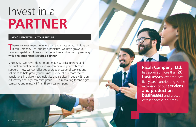# Invest in a **PARTNER**

### **WHO'S INVESTED IN YOUR FUTURE**

Thanks to investments in innovation and strategic acquisitions by Ricoh Company, Ltd. and its subsidiaries, we have grown our services capabilities. Now you can save time and money by working with **one integrated services partner.** 

Since 2010, we have added to our imaging, office printing and production print acquisitions so we can provide you with more support—now we can offer you a broader scope of services and solutions to help grow your business. Some of our more recent acquisitions in adjacent technologies and services include HSSK, an eDiscovery and legal forensics group, PTI, a marketing technologies company, and mindSHIFT, an IT services company.

©2017 Ricoh USA, Inc.

**Ricoh Company, Ltd.**  has acquired more than **20 businesses** over the past five years, contributing to the expansion of our **services and production businesses** and growth within specific industries.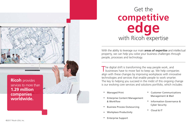The digital shift is transforming the way people work, and<br>businesses have to move fast to keep up. We help companies align with these changes by improving workplaces with innovative technologies and services that enable people to work smarter. The key to helping you succeed in the midst of this ongoing change is our evolving core services and solutions portfolio, which includes:

- Managed Print
- Enterprise Content Management & Workflow
- Business Process Outsourcing
- Workplace Productivity
- Enterprise Support
- Customer Communications Management & Mail
- Information Governance & Cyber Security
- Cloud & IT

With the ability to leverage our main **areas of expertise** and intellectual property, we can help you solve your business challenges through people, processes and technology.

# Get the **competitive edge** with Ricoh expertise

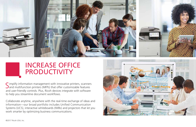Simplify information management with innovative printers, scanners<br>Sand multifunction printers (MFPs) that offer customizable features and user-friendly controls. Plus, Ricoh devices integrate with software to help you streamline document workflows.

Collaborate anytime, anywhere with the real-time exchange of ideas and information—our broad portfolio includes Unified Communication Systems (UCS), interactive whiteboards (IWBs) and projectors that let you work smarter by optimizing business communications.





# INCREASE OFFICE PRODUCTIVITY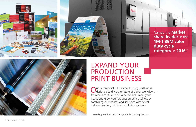Our Commercial & Industrial Printing portfolio is<br>
designed to drive the future of digital workflows from data capture to delivery. We help meet your needs and grow your production print business by combining our services and solutions with select industry-leading, third-party solution partners.

\*According to InfoTrends' U.S. Quarterly Tracking Program







# EXPAND YOUR PRODUCTION PRINT BUSINESS

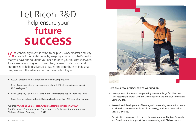# Let Ricoh R&D help ensure your **future success**

We continually invest in ways to help you work smarter and stay<br>Wahead of the digital curve by keeping a pulse on what's next so that you have the solutions you need to drive your business forward. Today, we're working with universities, research institutions and enterprises to help resolve social issues and contribute to industrial progress with the advancement of new technologies.

### **Here are a few projects we're working on:**

• Development of information-gathering drones in large facilities that can't receive GPS signals with the University of Tokyo and Blue Innovation

• Research and development of biomagnetic measuring systems for neural activity with Kanazawa Institute of Technology and Tokyo Medical and

- Company, Ltd.
- Dental University
- 

• Participation in a project led by the Japan Agency for Medical Research and Development to support tissue engineering with 3D bioprinters

- 49,000+ patents held worldwide by Ricoh Company, Ltd.
- Ricoh Company, Ltd. invests approximately 5-6% of consolidated sales in R&D each year\*
- Ricoh Company, Ltd. has R&D sites in the United States, Japan, India and China\*
- Ricoh Commercial and Industrial Printing holds more than 200 technology patents

\*Source: **"Creating Value: Ricoh Group Sustainability Report 2016."** The Corporate Communication Center and the Sustainability Management Division of Ricoh Company, Ltd. 2016.

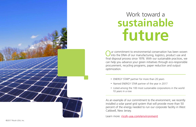

# Work toward a **sustainable future**

Our commitment to environmental conservation has been woven<br>into the DNA of our manufacturing, logistics, product use and final disposal process since 1976. With our sustainable practices, we can help you advance your green initiatives through eco-responsible procurement, recycling programs, paper reduction and output optimization.

- ENERGY STAR® partner for more than 20 years
- Named ENERGY STAR partner of the year in 2017
- 10 years in a row

• Listed among the 100 most sustainable corporations in the world

As an example of our commitment to the environment, we recently installed a solar panel grid system that will provide more than 50 percent of the energy needed to run our corporate facility in West Caldwell, New Jersey.

Learn more: ricoh-usa.com/environment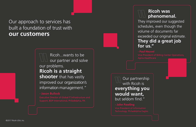Our partnership with Ricoh is **everything you would want,**  but seldom find."

## **- John Pawling**

 Ricoh...wants to be our partner and solve our problems. **Ricoh is a straight shooter** that has vastly improved our organization's information management."

## **- Jason Bullock**

## **Ricoh was phenomenal.**

They improved our suggested schedules, even though the volume of documents far exceeded our original estimate. **They did a great job for us."**

**- Paul Heuvel** 

Our approach to services has built a foundation of trust with **our customers**